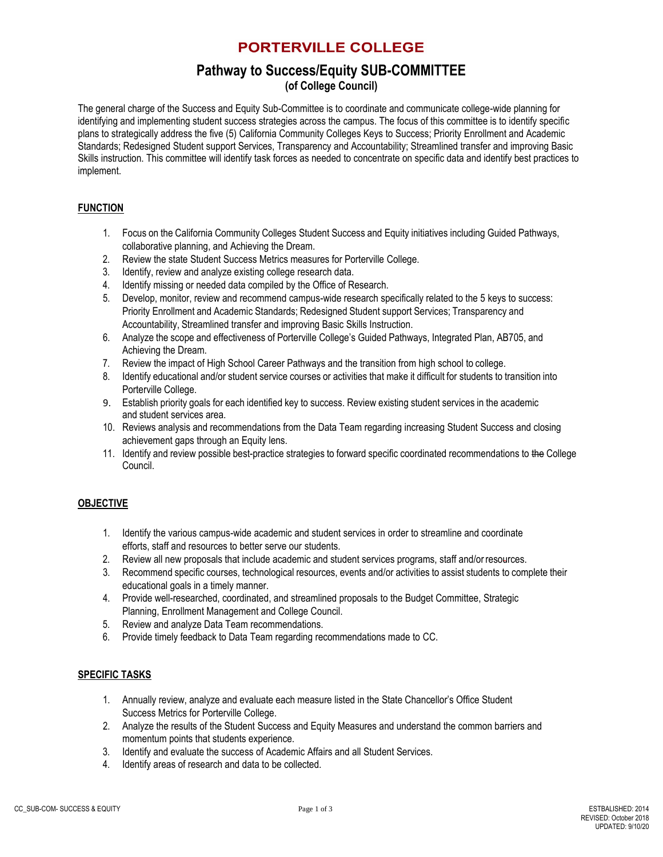# **PORTERVILLE COLLEGE**

# **Pathway to Success/Equity SUB-COMMITTEE**

### **(of College Council)**

The general charge of the Success and Equity Sub-Committee is to coordinate and communicate college-wide planning for identifying and implementing student success strategies across the campus. The focus of this committee is to identify specific plans to strategically address the five (5) California Community Colleges Keys to Success; Priority Enrollment and Academic Standards; Redesigned Student support Services, Transparency and Accountability; Streamlined transfer and improving Basic Skills instruction. This committee will identify task forces as needed to concentrate on specific data and identify best practices to implement.

### **FUNCTION**

- 1. Focus on the California Community Colleges Student Success and Equity initiatives including Guided Pathways, collaborative planning, and Achieving the Dream.
- 2. Review the state Student Success Metrics measures for Porterville College.
- 3. Identify, review and analyze existing college research data.
- 4. Identify missing or needed data compiled by the Office of Research.
- 5. Develop, monitor, review and recommend campus-wide research specifically related to the 5 keys to success: Priority Enrollment and Academic Standards; Redesigned Student support Services; Transparency and Accountability, Streamlined transfer and improving Basic Skills Instruction.
- 6. Analyze the scope and effectiveness of Porterville College's Guided Pathways, Integrated Plan, AB705, and Achieving the Dream.
- 7. Review the impact of High School Career Pathways and the transition from high school to college.
- 8. Identify educational and/or student service courses or activities that make it difficult for students to transition into Porterville College.
- 9. Establish priority goals for each identified key to success. Review existing student services in the academic and student services area.
- 10. Reviews analysis and recommendations from the Data Team regarding increasing Student Success and closing achievement gaps through an Equity lens.
- 11. Identify and review possible best-practice strategies to forward specific coordinated recommendations to the College Council.

### **OBJECTIVE**

- 1. Identify the various campus-wide academic and student services in order to streamline and coordinate efforts, staff and resources to better serve our students.
- 2. Review all new proposals that include academic and student services programs, staff and/or resources.
- 3. Recommend specific courses, technological resources, events and/or activities to assist students to complete their educational goals in a timely manner.
- 4. Provide well-researched, coordinated, and streamlined proposals to the Budget Committee, Strategic Planning, Enrollment Management and College Council.
- 5. Review and analyze Data Team recommendations.
- 6. Provide timely feedback to Data Team regarding recommendations made to CC.

### **SPECIFIC TASKS**

- 1. Annually review, analyze and evaluate each measure listed in the State Chancellor's Office Student Success Metrics for Porterville College.
- 2. Analyze the results of the Student Success and Equity Measures and understand the common barriers and momentum points that students experience.
- 3. Identify and evaluate the success of Academic Affairs and all Student Services.
- 4. Identify areas of research and data to be collected.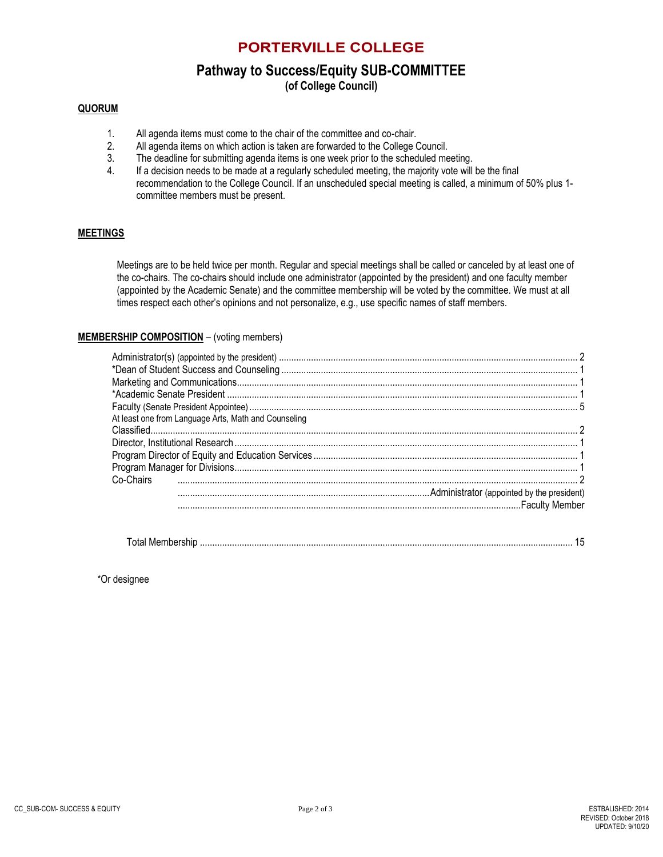### **PORTERVILLE COLLEGE**

# **Pathway to Success/Equity SUB-COMMITTEE**

**(of College Council)**

### **QUORUM**

- 1. All agenda items must come to the chair of the committee and co-chair.
- 2. All agenda items on which action is taken are forwarded to the College Council.
- 3. The deadline for submitting agenda items is one week prior to the scheduled meeting.
- 4. If a decision needs to be made at a regularly scheduled meeting, the majority vote will be the final recommendation to the College Council. If an unscheduled special meeting is called, a minimum of 50% plus 1 committee members must be present.

### **MEETINGS**

Meetings are to be held twice per month. Regular and special meetings shall be called or canceled by at least one of the co-chairs. The co-chairs should include one administrator (appointed by the president) and one faculty member (appointed by the Academic Senate) and the committee membership will be voted by the committee. We must at all times respect each other's opinions and not personalize, e.g., use specific names of staff members.

### **MEMBERSHIP COMPOSITION** – (voting members)

| At least one from Language Arts, Math and Counseling |  |
|------------------------------------------------------|--|
|                                                      |  |
|                                                      |  |
|                                                      |  |
|                                                      |  |
| Co-Chairs                                            |  |
|                                                      |  |
|                                                      |  |

| $\tau$ |  |  |
|--------|--|--|
|--------|--|--|

\*Or designee